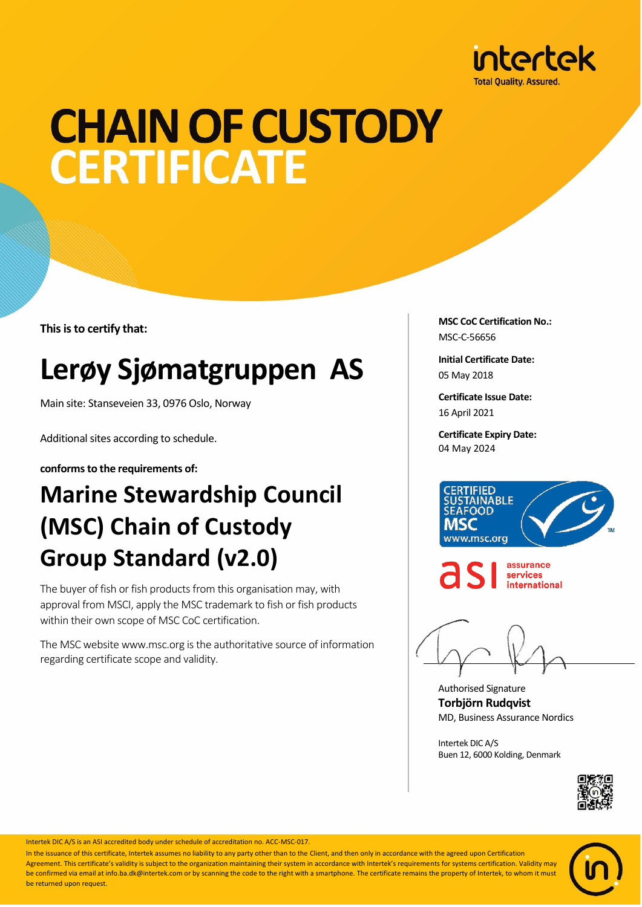

## **CHAIN OF CUSTODY CERTIFICATE**

**This is to certify that:**

## **Lerøy Sjømatgruppen AS**

Main site: Stanseveien 33, 0976 Oslo, Norway

Additional sites according to schedule.

**conforms to the requirements of:**

## **Marine Stewardship Council (MSC) Chain of Custody Group Standard (v2.0)**

The buyer of fish or fish products from this organisation may, with approval from MSCI, apply the MSC trademark to fish or fish products within their own scope of MSC CoC certification.

The MSC website www.msc.org is the authoritative source of information regarding certificate scope and validity.

**MSC CoC Certification No.:** MSC-C-56656

**Initial Certificate Date:** 05 May 2018

**Certificate Issue Date:** 16 April 2021

**Certificate Expiry Date:** 04 May 2024





assurance services international

Authorised Signature **Torbjörn Rudqvist** MD, Business Assurance Nordics

Intertek DIC A/S Buen 12, 6000 Kolding, Denmark





Intertek DIC A/S is an ASI accredited body under schedule of accreditation no. ACC-MSC-017.

In the issuance of this certificate, Intertek assumes no liability to any party other than to the Client, and then only in accordance with the agreed upon Certification Agreement. This certificate's validity is subject to the organization maintaining their system in accordance with Intertek's requirements for systems certification. Validity may be confirmed via email at info.ba.dk@intertek.com or by scanning the code to the right with a smartphone. The certificate remains the property of Intertek, to whom it must be returned upon request.